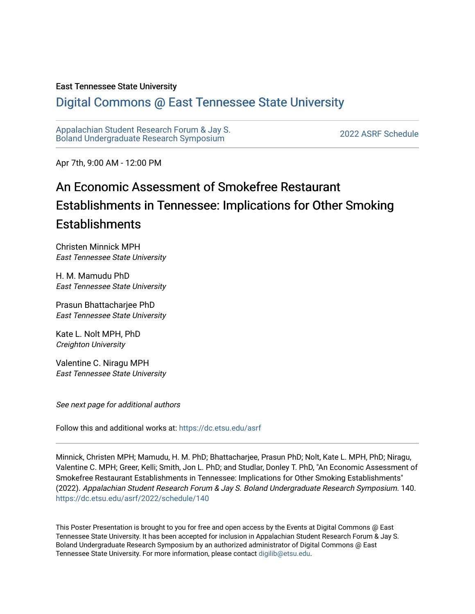## East Tennessee State University

## [Digital Commons @ East Tennessee State University](https://dc.etsu.edu/)

[Appalachian Student Research Forum & Jay S.](https://dc.etsu.edu/asrf)  Appalactifalt Student Research Forum & Jay S.<br>Boland Undergraduate Research Symposium

Apr 7th, 9:00 AM - 12:00 PM

## An Economic Assessment of Smokefree Restaurant Establishments in Tennessee: Implications for Other Smoking Establishments

Christen Minnick MPH East Tennessee State University

H. M. Mamudu PhD East Tennessee State University

Prasun Bhattacharjee PhD East Tennessee State University

Kate L. Nolt MPH, PhD Creighton University

Valentine C. Niragu MPH East Tennessee State University

See next page for additional authors

Follow this and additional works at: [https://dc.etsu.edu/asrf](https://dc.etsu.edu/asrf?utm_source=dc.etsu.edu%2Fasrf%2F2022%2Fschedule%2F140&utm_medium=PDF&utm_campaign=PDFCoverPages) 

Minnick, Christen MPH; Mamudu, H. M. PhD; Bhattacharjee, Prasun PhD; Nolt, Kate L. MPH, PhD; Niragu, Valentine C. MPH; Greer, Kelli; Smith, Jon L. PhD; and Studlar, Donley T. PhD, "An Economic Assessment of Smokefree Restaurant Establishments in Tennessee: Implications for Other Smoking Establishments" (2022). Appalachian Student Research Forum & Jay S. Boland Undergraduate Research Symposium. 140. [https://dc.etsu.edu/asrf/2022/schedule/140](https://dc.etsu.edu/asrf/2022/schedule/140?utm_source=dc.etsu.edu%2Fasrf%2F2022%2Fschedule%2F140&utm_medium=PDF&utm_campaign=PDFCoverPages) 

This Poster Presentation is brought to you for free and open access by the Events at Digital Commons @ East Tennessee State University. It has been accepted for inclusion in Appalachian Student Research Forum & Jay S. Boland Undergraduate Research Symposium by an authorized administrator of Digital Commons @ East Tennessee State University. For more information, please contact [digilib@etsu.edu](mailto:digilib@etsu.edu).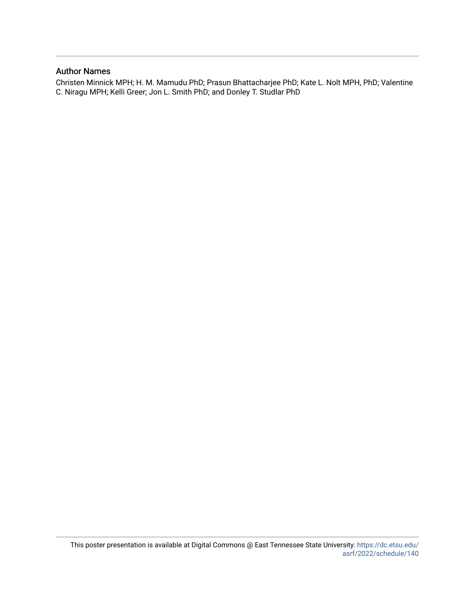## Author Names

Christen Minnick MPH; H. M. Mamudu PhD; Prasun Bhattacharjee PhD; Kate L. Nolt MPH, PhD; Valentine C. Niragu MPH; Kelli Greer; Jon L. Smith PhD; and Donley T. Studlar PhD